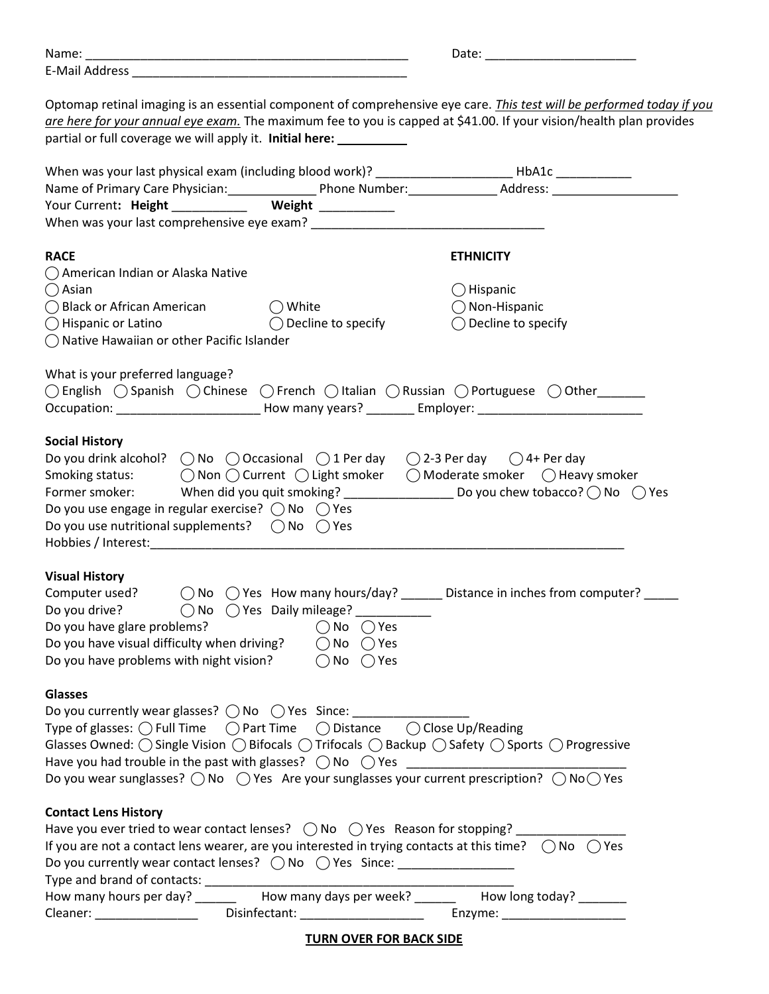| IM.<br>-- | ັ |
|-----------|---|
| F.M       |   |

Optomap retinal imaging is an essential component of comprehensive eye care. *This test will be performed today if you* are here for your annual eye exam. The maximum fee to you is capped at \$41.00. If your vision/health plan provides partial or full coverage we will apply it. Initial here: \_\_\_\_\_\_\_\_\_\_

| When was your last physical exam (including blood work)? ________________________ HbA1c ____________                                                                                                                                                                                                                                                                                                                                                                                                                                                                                                                                                         |  |                                                                                                                      |  |  |  |  |  |
|--------------------------------------------------------------------------------------------------------------------------------------------------------------------------------------------------------------------------------------------------------------------------------------------------------------------------------------------------------------------------------------------------------------------------------------------------------------------------------------------------------------------------------------------------------------------------------------------------------------------------------------------------------------|--|----------------------------------------------------------------------------------------------------------------------|--|--|--|--|--|
|                                                                                                                                                                                                                                                                                                                                                                                                                                                                                                                                                                                                                                                              |  | Name of Primary Care Physician: Phone Number: Address: Address: Address: 2011                                        |  |  |  |  |  |
| Your Current: Height ____________ Weight ___________                                                                                                                                                                                                                                                                                                                                                                                                                                                                                                                                                                                                         |  |                                                                                                                      |  |  |  |  |  |
|                                                                                                                                                                                                                                                                                                                                                                                                                                                                                                                                                                                                                                                              |  |                                                                                                                      |  |  |  |  |  |
| <b>RACE</b><br>◯ American Indian or Alaska Native                                                                                                                                                                                                                                                                                                                                                                                                                                                                                                                                                                                                            |  | <b>ETHNICITY</b>                                                                                                     |  |  |  |  |  |
| $\bigcirc$ Asian                                                                                                                                                                                                                                                                                                                                                                                                                                                                                                                                                                                                                                             |  | $\bigcirc$ Hispanic                                                                                                  |  |  |  |  |  |
| $\bigcirc$ Black or African American $\bigcirc$ White                                                                                                                                                                                                                                                                                                                                                                                                                                                                                                                                                                                                        |  | $\bigcirc$ Non-Hispanic                                                                                              |  |  |  |  |  |
| $\bigcirc$ Hispanic or Latino $\bigcirc$ Decline to specify                                                                                                                                                                                                                                                                                                                                                                                                                                                                                                                                                                                                  |  | $\bigcirc$ Decline to specify                                                                                        |  |  |  |  |  |
| ◯ Native Hawaiian or other Pacific Islander                                                                                                                                                                                                                                                                                                                                                                                                                                                                                                                                                                                                                  |  |                                                                                                                      |  |  |  |  |  |
| What is your preferred language?<br>$\bigcirc$ English $\bigcirc$ Spanish $\bigcirc$ Chinese $\bigcirc$ French $\bigcirc$ Italian $\bigcirc$ Russian $\bigcirc$ Portuguese $\bigcirc$ Other______<br>Occupation: ___________________________How many years? __________Employer: ________________________                                                                                                                                                                                                                                                                                                                                                     |  |                                                                                                                      |  |  |  |  |  |
| <b>Social History</b><br>Do you drink alcohol? $\bigcirc$ No $\bigcirc$ Occasional $\bigcirc$ 1 Per day $\bigcirc$ 2-3 Per day $\bigcirc$ 4+ Per day<br>Smoking status: $\bigcap$ Non $\bigcap$ Current $\bigcap$ Light smoker $\bigcap$ Moderate smoker $\bigcap$ Heavy smoker<br>Do you use engage in regular exercise? $\bigcirc$ No $\bigcirc$ Yes<br>Do you use nutritional supplements? $\bigcirc$ No $\bigcirc$ Yes<br>Hobbies / Interest: North and Security and Security and Security and Security and Security and Security and Security and Security and Security and Security and Security and Security and Security and Security and Security a |  | Former smoker: When did you quit smoking? ________________________ Do you chew tobacco? $\bigcirc$ No $\bigcirc$ Yes |  |  |  |  |  |
| <b>Visual History</b><br>Do you drive? $\bigcirc$ No $\bigcirc$ Yes Daily mileage? __________<br>Do you have glare problems? $\bigcirc$ No $\bigcirc$ Yes<br>Do you have visual difficulty when driving? $\bigcirc$ No $\bigcirc$ Yes<br>Do you have problems with night vision? $\bigcirc$ No $\bigcirc$ Yes                                                                                                                                                                                                                                                                                                                                                |  | Computer used? $\bigcirc$ No $\bigcirc$ Yes How many hours/day? _____ Distance in inches from computer? ____         |  |  |  |  |  |
| <b>Glasses</b><br>Do you currently wear glasses? ○ No ○ Yes Since: __________<br>Glasses Owned: $\bigcirc$ Single Vision $\bigcirc$ Bifocals $\bigcirc$ Trifocals $\bigcirc$ Backup $\bigcirc$ Safety $\bigcirc$ Sports $\bigcirc$ Progressive<br>Do you wear sunglasses? $\bigcirc$ No $\bigcirc$ Yes Are your sunglasses your current prescription? $\bigcirc$ No $\bigcirc$ Yes                                                                                                                                                                                                                                                                           |  |                                                                                                                      |  |  |  |  |  |
| <b>Contact Lens History</b><br>Have you ever tried to wear contact lenses? $\bigcirc$ No $\bigcirc$ Yes Reason for stopping?<br>If you are not a contact lens wearer, are you interested in trying contacts at this time? $\bigcirc$ No $\bigcirc$ Yes<br>Do you currently wear contact lenses? $\bigcirc$ No $\bigcirc$ Yes Since: ________________<br>How many hours per day? _______ How many days per week? _______ How long today? ______                                                                                                                                                                                                               |  |                                                                                                                      |  |  |  |  |  |

TURN OVER FOR BACK SIDE